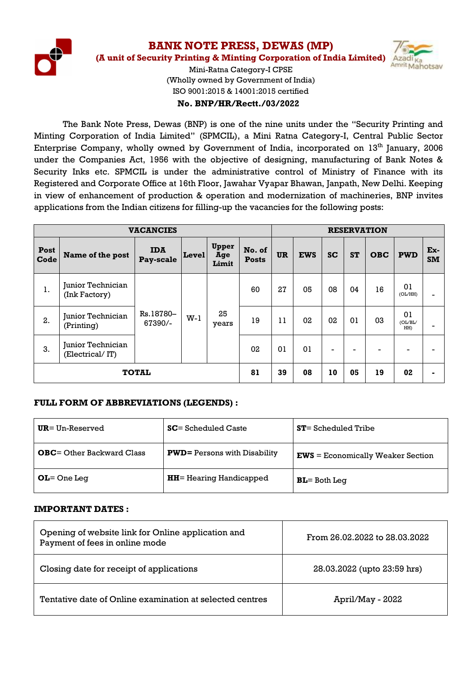

**BANK NOTE PRESS, DEWAS (MP)**

**(A unit of Security Printing & Minting Corporation of India Limited)**

**Init** Mahotsay

Mini-Ratna Category-I CPSE (Wholly owned by Government of India) ISO 9001:2015 & 14001:2015 certified

## **No. BNP/HR/Rectt./03/2022**

The Bank Note Press, Dewas (BNP) is one of the nine units under the "Security Printing and Minting Corporation of India Limited" (SPMCIL), a Mini Ratna Category-I, Central Public Sector Enterprise Company, wholly owned by Government of India, incorporated on  $13<sup>th</sup>$  January, 2006 under the Companies Act, 1956 with the objective of designing, manufacturing of Bank Notes & Security Inks etc. SPMCIL is under the administrative control of Ministry of Finance with its Registered and Corporate Office at 16th Floor, Jawahar Vyapar Bhawan, Janpath, New Delhi. Keeping in view of enhancement of production & operation and modernization of machineries, BNP invites applications from the Indian citizens for filling-up the vacancies for the following posts:

| <b>VACANCIES</b> |                                      |                         |                 | <b>RESERVATION</b>    |                        |                |             |                          |                          |                                  |               |                      |  |
|------------------|--------------------------------------|-------------------------|-----------------|-----------------------|------------------------|----------------|-------------|--------------------------|--------------------------|----------------------------------|---------------|----------------------|--|
| Post<br>Code     | Name of the post                     | <b>IDA</b><br>Pay-scale | $ {\bf Level} $ | Upper<br>Age<br>Limit | No. of<br><b>Posts</b> | <b>UR</b>      | <b>EWS</b>  | <b>SC</b>                | <b>ST</b>                | <b>OBC</b>                       | <b>PWD</b>    | $Ex-$<br><b>SM</b>   |  |
| 1.               | Junior Technician<br>(Ink Factory)   |                         | $W-1$           |                       | 60                     | 27             | 05          | 08                       | 04                       | 16                               | 01<br>(OL/HH) |                      |  |
| 2.               | Junior Technician<br>(Printing)      | Rs.18780-<br>67390/-    |                 |                       |                        |                | 25<br>years |                          | 19                       | 02<br>02<br>0 <sub>1</sub><br>11 | 03            | 01<br>(OL/BL/<br>HH) |  |
| 3.               | Junior Technician<br>(Electrical/IT) |                         |                 |                       | 02                     | 0 <sub>1</sub> | 01          | $\overline{\phantom{a}}$ | $\overline{\phantom{a}}$ |                                  | -             |                      |  |
| <b>TOTAL</b>     |                                      |                         | 81              | 39                    | 08                     | 10             | 05          | 19                       | 02                       |                                  |               |                      |  |

## **FULL FORM OF ABBREVIATIONS (LEGENDS) :**

| $UR = Un-Reserved$                | $SC = S$ cheduled Caste              | $ST = S$ cheduled Tribe             |
|-----------------------------------|--------------------------------------|-------------------------------------|
| <b>OBC</b> = Other Backward Class | <b>PWD</b> = Persons with Disability | $EWS = Economically Weaker Section$ |
| $OL = One Leg$                    | <b>HH</b> = Hearing Handicapped      | $BL = Both Leg$                     |

#### **IMPORTANT DATES :**

| Opening of website link for Online application and<br>Payment of fees in online mode | From 26.02.2022 to 28.03.2022 |  |  |  |
|--------------------------------------------------------------------------------------|-------------------------------|--|--|--|
| Closing date for receipt of applications                                             | 28.03.2022 (upto 23:59 hrs)   |  |  |  |
| Tentative date of Online examination at selected centres                             | April/May - 2022              |  |  |  |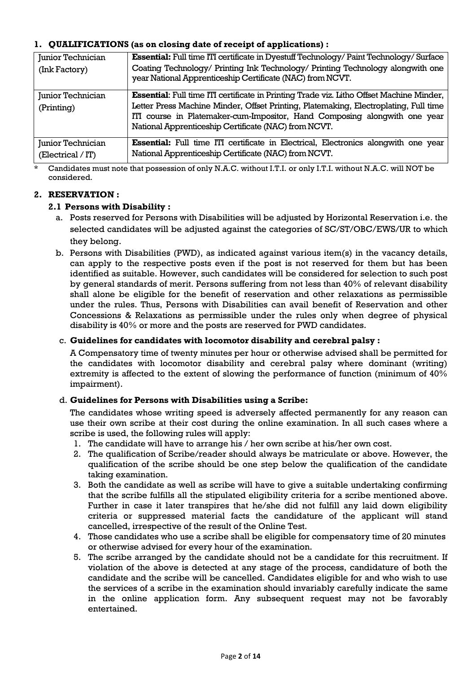## **1. QUALIFICATIONS (as on closing date of receipt of applications) :**

| Junior Technician | <b>Essential:</b> Full time ITI certificate in Dyestuff Technology/ Paint Technology/ Surface                                               |
|-------------------|---------------------------------------------------------------------------------------------------------------------------------------------|
| (Ink Factory)     | Coating Technology/ Printing Ink Technology/ Printing Technology alongwith one<br>year National Apprenticeship Certificate (NAC) from NCVT. |
| Junior Technician | Essential: Full time ITI certificate in Printing Trade viz. Litho Offset Machine Minder,                                                    |
| (Printing)        | Letter Press Machine Minder, Offset Printing, Platemaking, Electroplating, Full time                                                        |
|                   | ITI course in Platemaker-cum-Impositor, Hand Composing alongwith one year                                                                   |
|                   | National Apprenticeship Certificate (NAC) from NCVT.                                                                                        |
| Junior Technician | <b>Essential:</b> Full time ITI certificate in Electrical, Electronics alongwith one year                                                   |
| (Electrical / IT) | National Apprenticeship Certificate (NAC) from NCVT.                                                                                        |

Candidates must note that possession of only N.A.C. without I.T.I. or only I.T.I. without N.A.C. will NOT be considered.

## **2. RESERVATION :**

#### **2.1 Persons with Disability :**

- a. Posts reserved for Persons with Disabilities will be adjusted by Horizontal Reservation i.e. the selected candidates will be adjusted against the categories of SC/ST/OBC/EWS/UR to which they belong.
- b. Persons with Disabilities (PWD), as indicated against various item(s) in the vacancy details, can apply to the respective posts even if the post is not reserved for them but has been identified as suitable. However, such candidates will be considered for selection to such post by general standards of merit. Persons suffering from not less than 40% of relevant disability shall alone be eligible for the benefit of reservation and other relaxations as permissible under the rules. Thus, Persons with Disabilities can avail benefit of Reservation and other Concessions & Relaxations as permissible under the rules only when degree of physical disability is 40% or more and the posts are reserved for PWD candidates.

#### c. **Guidelines for candidates with locomotor disability and cerebral palsy :**

A Compensatory time of twenty minutes per hour or otherwise advised shall be permitted for the candidates with locomotor disability and cerebral palsy where dominant (writing) extremity is affected to the extent of slowing the performance of function (minimum of  $40\%$ ) impairment).

#### d. **Guidelines for Persons with Disabilities using a Scribe:**

The candidates whose writing speed is adversely affected permanently for any reason can use their own scribe at their cost during the online examination. In all such cases where a scribe is used, the following rules will apply:

- 1. The candidate will have to arrange his / her own scribe at his/her own cost.
- 2. The qualification of Scribe/reader should always be matriculate or above. However, the qualification of the scribe should be one step below the qualification of the candidate taking examination.
- 3. Both the candidate as well as scribe will have to give a suitable undertaking confirming that the scribe fulfills all the stipulated eligibility criteria for a scribe mentioned above. Further in case it later transpires that he/she did not fulfill any laid down eligibility criteria or suppressed material facts the candidature of the applicant will stand cancelled, irrespective of the result of the Online Test.
- 4. Those candidates who use a scribe shall be eligible for compensatory time of 20 minutes or otherwise advised for every hour of the examination.
- 5. The scribe arranged by the candidate should not be a candidate for this recruitment. If violation of the above is detected at any stage of the process, candidature of both the candidate and the scribe will be cancelled. Candidates eligible for and who wish to use the services of a scribe in the examination should invariably carefully indicate the same in the online application form. Any subsequent request may not be favorably entertained.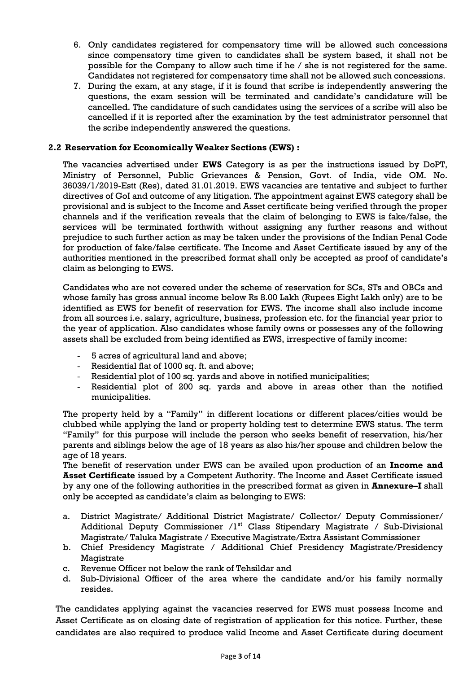- 6. Only candidates registered for compensatory time will be allowed such concessions since compensatory time given to candidates shall be system based, it shall not be possible for the Company to allow such time if he / she is not registered for the same. Candidates not registered for compensatory time shall not be allowed such concessions.
- 7. During the exam, at any stage, if it is found that scribe is independently answering the questions, the exam session will be terminated and candidate"s candidature will be cancelled. The candidature of such candidates using the services of a scribe will also be cancelled if it is reported after the examination by the test administrator personnel that the scribe independently answered the questions.

#### **2.2 Reservation for Economically Weaker Sections (EWS) :**

The vacancies advertised under **EWS** Category is as per the instructions issued by DoPT, Ministry of Personnel, Public Grievances & Pension, Govt. of India, vide OM. No. 36039/1/2019-Estt (Res), dated 31.01.2019. EWS vacancies are tentative and subject to further directives of GoI and outcome of any litigation. The appointment against EWS category shall be provisional and is subject to the Income and Asset certificate being verified through the proper channels and if the verification reveals that the claim of belonging to EWS is fake/false, the services will be terminated forthwith without assigning any further reasons and without prejudice to such further action as may be taken under the provisions of the Indian Penal Code for production of fake/false certificate. The Income and Asset Certificate issued by any of the authorities mentioned in the prescribed format shall only be accepted as proof of candidate"s claim as belonging to EWS.

Candidates who are not covered under the scheme of reservation for SCs, STs and OBCs and whose family has gross annual income below Rs 8.00 Lakh (Rupees Eight Lakh only) are to be identified as EWS for benefit of reservation for EWS. The income shall also include income from all sources i.e. salary, agriculture, business, profession etc. for the financial year prior to the year of application. Also candidates whose family owns or possesses any of the following assets shall be excluded from being identified as EWS, irrespective of family income:

- 5 acres of agricultural land and above;
- Residential flat of 1000 sq. ft. and above;
- Residential plot of 100 sq. yards and above in notified municipalities;
- Residential plot of 200 sq. yards and above in areas other than the notified municipalities.

The property held by a "Family" in different locations or different places/cities would be clubbed while applying the land or property holding test to determine EWS status. The term "Family" for this purpose will include the person who seeks benefit of reservation, his/her parents and siblings below the age of 18 years as also his/her spouse and children below the age of 18 years.

The benefit of reservation under EWS can be availed upon production of an **Income and Asset Certificate** issued by a Competent Authority. The Income and Asset Certificate issued by any one of the following authorities in the prescribed format as given in **Annexure–I** shall only be accepted as candidate"s claim as belonging to EWS:

- a. District Magistrate/ Additional District Magistrate/ Collector/ Deputy Commissioner/ Additional Deputy Commissioner /1<sup>st</sup> Class Stipendary Magistrate / Sub-Divisional Magistrate/ Taluka Magistrate / Executive Magistrate/Extra Assistant Commissioner
- b. Chief Presidency Magistrate / Additional Chief Presidency Magistrate/Presidency Magistrate
- c. Revenue Officer not below the rank of Tehsildar and
- d. Sub-Divisional Officer of the area where the candidate and/or his family normally resides.

The candidates applying against the vacancies reserved for EWS must possess Income and Asset Certificate as on closing date of registration of application for this notice. Further, these candidates are also required to produce valid Income and Asset Certificate during document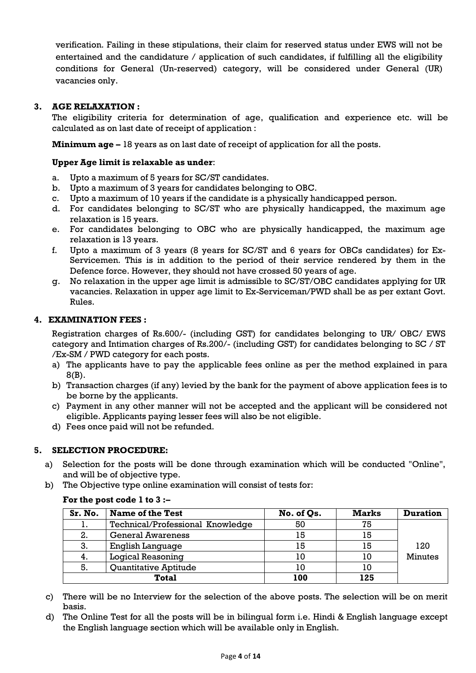verification. Failing in these stipulations, their claim for reserved status under EWS will not be entertained and the candidature / application of such candidates, if fulfilling all the eligibility conditions for General (Un-reserved) category, will be considered under General (UR) vacancies only.

## **3. AGE RELAXATION :**

The eligibility criteria for determination of age, qualification and experience etc. will be calculated as on last date of receipt of application :

**Minimum age –** 18 years as on last date of receipt of application for all the posts.

#### **Upper Age limit is relaxable as under**:

- a. Upto a maximum of 5 years for SC/ST candidates.
- b. Upto a maximum of 3 years for candidates belonging to OBC.
- c. Upto a maximum of 10 years if the candidate is a physically handicapped person.
- d. For candidates belonging to SC/ST who are physically handicapped, the maximum age relaxation is 15 years.
- e. For candidates belonging to OBC who are physically handicapped, the maximum age relaxation is 13 years.
- f. Upto a maximum of 3 years (8 years for SC/ST and 6 years for OBCs candidates) for Ex-Servicemen. This is in addition to the period of their service rendered by them in the Defence force. However, they should not have crossed 50 years of age.
- g. No relaxation in the upper age limit is admissible to SC/ST/OBC candidates applying for UR vacancies. Relaxation in upper age limit to Ex-Serviceman/PWD shall be as per extant Govt. Rules.

## **4. EXAMINATION FEES :**

Registration charges of Rs.600/- (including GST) for candidates belonging to UR/ OBC/ EWS category and Intimation charges of Rs.200/- (including GST) for candidates belonging to SC / ST /Ex-SM / PWD category for each posts.

- a) The applicants have to pay the applicable fees online as per the method explained in para 8(B).
- b) Transaction charges (if any) levied by the bank for the payment of above application fees is to be borne by the applicants.
- c) Payment in any other manner will not be accepted and the applicant will be considered not eligible. Applicants paying lesser fees will also be not eligible.
- d) Fees once paid will not be refunded.

## **5. SELECTION PROCEDURE:**

- a) Selection for the posts will be done through examination which will be conducted "Online", and will be of objective type.
- b) The Objective type online examination will consist of tests for:

# **For the post code 1 to 3 :–**

| Sr. No. | Name of the Test                 | No. of Qs. | <b>Marks</b> | <b>Duration</b> |
|---------|----------------------------------|------------|--------------|-----------------|
| ι.      | Technical/Professional Knowledge | 50         | 75           |                 |
| 2.      | <b>General Awareness</b>         | 15         | 15           |                 |
| 3.      | English Language                 | 15         | 15           | 120             |
| 4.      | <b>Logical Reasoning</b>         | 10         | 10           | <b>Minutes</b>  |
| 5.      | Quantitative Aptitude            | 10         | 10           |                 |
|         | <b>Total</b>                     | 100        | 125          |                 |

- c) There will be no Interview for the selection of the above posts. The selection will be on merit basis.
- d) The Online Test for all the posts will be in bilingual form i.e. Hindi & English language except the English language section which will be available only in English.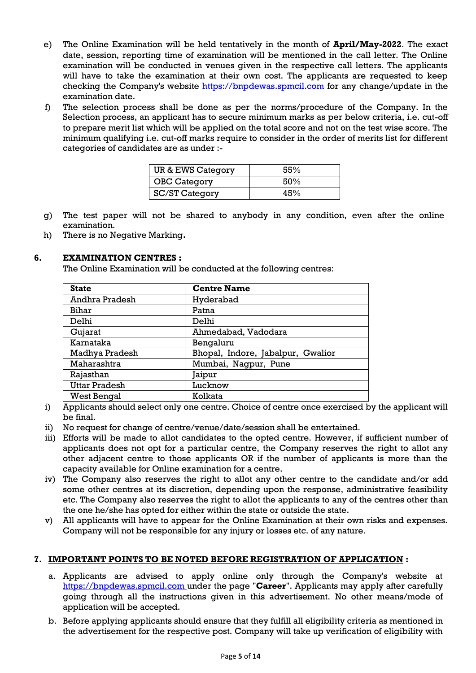- e) The Online Examination will be held tentatively in the month of **April/May-2022**. The exact date, session, reporting time of examination will be mentioned in the call letter. The Online examination will be conducted in venues given in the respective call letters. The applicants will have to take the examination at their own cost. The applicants are requested to keep checking the Company's website [https://bnpdewas.spmcil.com](https://bnpdewas.spmcil.com/) for any change/update in the examination date.
- f) The selection process shall be done as per the norms/procedure of the Company. In the Selection process, an applicant has to secure minimum marks as per below criteria, i.e. cut-off to prepare merit list which will be applied on the total score and not on the test wise score. The minimum qualifying i.e. cut-off marks require to consider in the order of merits list for different categories of candidates are as under :-

| UR & EWS Category     | 55% |
|-----------------------|-----|
| <b>OBC Category</b>   | 50% |
| <b>SC/ST Category</b> | 45% |

- g) The test paper will not be shared to anybody in any condition, even after the online examination.
- h) There is no Negative Marking**.**

## **6. EXAMINATION CENTRES :**

The Online Examination will be conducted at the following centres:

| <b>State</b>         | <b>Centre Name</b>                |
|----------------------|-----------------------------------|
| Andhra Pradesh       | Hyderabad                         |
| Bihar                | Patna                             |
| Delhi                | Delhi                             |
| Gujarat              | Ahmedabad, Vadodara               |
| Karnataka            | Bengaluru                         |
| Madhya Pradesh       | Bhopal, Indore, Jabalpur, Gwalior |
| Maharashtra          | Mumbai, Nagpur, Pune              |
| Rajasthan            | aipur]                            |
| <b>Uttar Pradesh</b> | Lucknow                           |
| West Bengal          | Kolkata                           |

- i) Applicants should select only one centre. Choice of centre once exercised by the applicant will be final.
- ii) No request for change of centre/venue/date/session shall be entertained.
- iii) Efforts will be made to allot candidates to the opted centre. However, if sufficient number of applicants does not opt for a particular centre, the Company reserves the right to allot any other adjacent centre to those applicants OR if the number of applicants is more than the capacity available for Online examination for a centre.
- iv) The Company also reserves the right to allot any other centre to the candidate and/or add some other centres at its discretion, depending upon the response, administrative feasibility etc. The Company also reserves the right to allot the applicants to any of the centres other than the one he/she has opted for either within the state or outside the state.
- v) All applicants will have to appear for the Online Examination at their own risks and expenses. Company will not be responsible for any injury or losses etc. of any nature.

## **7. IMPORTANT POINTS TO BE NOTED BEFORE REGISTRATION OF APPLICATION :**

- a. Applicants are advised to apply online only through the Company's website at [https://bnpdewas.spmcil.com u](https://bnpdewas.spmcil.com/)nder the page "**Career**". Applicants may apply after carefully going through all the instructions given in this advertisement. No other means/mode of application will be accepted.
- b. Before applying applicants should ensure that they fulfill all eligibility criteria as mentioned in the advertisement for the respective post. Company will take up verification of eligibility with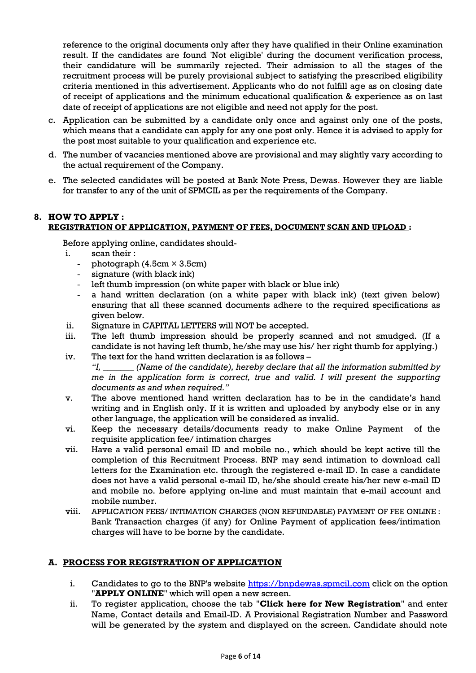reference to the original documents only after they have qualified in their Online examination result. If the candidates are found 'Not eligible' during the document verification process, their candidature will be summarily rejected. Their admission to all the stages of the recruitment process will be purely provisional subject to satisfying the prescribed eligibility criteria mentioned in this advertisement. Applicants who do not fulfill age as on closing date of receipt of applications and the minimum educational qualification & experience as on last date of receipt of applications are not eligible and need not apply for the post.

- c. Application can be submitted by a candidate only once and against only one of the posts, which means that a candidate can apply for any one post only. Hence it is advised to apply for the post most suitable to your qualification and experience etc.
- d. The number of vacancies mentioned above are provisional and may slightly vary according to the actual requirement of the Company.
- e. The selected candidates will be posted at Bank Note Press, Dewas. However they are liable for transfer to any of the unit of SPMCIL as per the requirements of the Company.

## **8. HOW TO APPLY : REGISTRATION OF APPLICATION, PAYMENT OF FEES, DOCUMENT SCAN AND UPLOAD :**

Before applying online, candidates should-

- i. scan their :
	- photograph  $(4.5cm \times 3.5cm)$
	- signature (with black ink)
	- left thumb impression (on white paper with black or blue ink)
	- a hand written declaration (on a white paper with black ink) (text given below) ensuring that all these scanned documents adhere to the required specifications as given below.
- ii. Signature in CAPITAL LETTERS will NOT be accepted.
- iii. The left thumb impression should be properly scanned and not smudged. (If a candidate is not having left thumb, he/she may use his/ her right thumb for applying.)
- iv. The text for the hand written declaration is as follows *"I, \_\_\_\_\_\_\_ (Name of the candidate), hereby declare that all the information submitted by me in the application form is correct, true and valid. I will present the supporting documents as and when required."*
- v. The above mentioned hand written declaration has to be in the candidate"s hand writing and in English only. If it is written and uploaded by anybody else or in any other language, the application will be considered as invalid.
- vi. Keep the necessary details/documents ready to make Online Payment of the requisite application fee/ intimation charges
- vii. Have a valid personal email ID and mobile no., which should be kept active till the completion of this Recruitment Process. BNP may send intimation to download call letters for the Examination etc. through the registered e-mail ID. In case a candidate does not have a valid personal e-mail ID, he/she should create his/her new e-mail ID and mobile no. before applying on-line and must maintain that e-mail account and mobile number.
- viii. APPLICATION FEES/ INTIMATION CHARGES (NON REFUNDABLE) PAYMENT OF FEE ONLINE : Bank Transaction charges (if any) for Online Payment of application fees/intimation charges will have to be borne by the candidate.

## **A. PROCESS FOR REGISTRATION OF APPLICATION**

- i. Candidates to go to the BNP's website [https://bnpdewas.spmcil.com](https://bnpdewas.spmcil.com/) click on the option "**APPLY ONLINE**" which will open a new screen.
- ii. To register application, choose the tab "**Click here for New Registration**" and enter Name, Contact details and Email-ID. A Provisional Registration Number and Password will be generated by the system and displayed on the screen. Candidate should note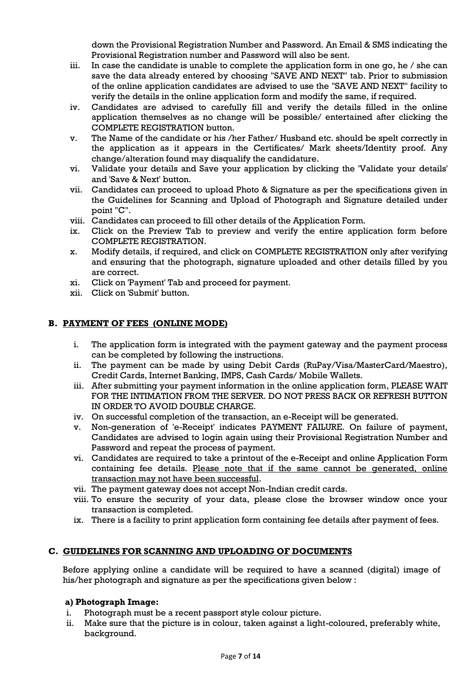down the Provisional Registration Number and Password. An Email & SMS indicating the Provisional Registration number and Password will also be sent.

- iii. In case the candidate is unable to complete the application form in one go, he / she can save the data already entered by choosing "SAVE AND NEXT" tab. Prior to submission of the online application candidates are advised to use the "SAVE AND NEXT" facility to verify the details in the online application form and modify the same, if required.
- iv. Candidates are advised to carefully fill and verify the details filled in the online application themselves as no change will be possible/ entertained after clicking the COMPLETE REGISTRATION button.
- v. The Name of the candidate or his /her Father/ Husband etc. should be spelt correctly in the application as it appears in the Certificates/ Mark sheets/Identity proof. Any change/alteration found may disqualify the candidature.
- vi. Validate your details and Save your application by clicking the 'Validate your details' and 'Save & Next' button.
- vii. Candidates can proceed to upload Photo & Signature as per the specifications given in the Guidelines for Scanning and Upload of Photograph and Signature detailed under point "C".
- viii. Candidates can proceed to fill other details of the Application Form.
- ix. Click on the Preview Tab to preview and verify the entire application form before COMPLETE REGISTRATION.
- x. Modify details, if required, and click on COMPLETE REGISTRATION only after verifying and ensuring that the photograph, signature uploaded and other details filled by you are correct.
- xi. Click on 'Payment' Tab and proceed for payment.
- xii. Click on 'Submit' button.

## **B. PAYMENT OF FEES (ONLINE MODE)**

- i. The application form is integrated with the payment gateway and the payment process can be completed by following the instructions.
- ii. The payment can be made by using Debit Cards (RuPay/Visa/MasterCard/Maestro), Credit Cards, Internet Banking, IMPS, Cash Cards/ Mobile Wallets.
- iii. After submitting your payment information in the online application form, PLEASE WAIT FOR THE INTIMATION FROM THE SERVER. DO NOT PRESS BACK OR REFRESH BUTTON IN ORDER TO AVOID DOUBLE CHARGE.
- iv. On successful completion of the transaction, an e-Receipt will be generated.
- v. Non-generation of 'e-Receipt' indicates PAYMENT FAILURE. On failure of payment, Candidates are advised to login again using their Provisional Registration Number and Password and repeat the process of payment.
- vi. Candidates are required to take a printout of the e-Receipt and online Application Form containing fee details. Please note that if the same cannot be generated, online transaction may not have been successful.
- vii. The payment gateway does not accept Non-Indian credit cards.
- viii. To ensure the security of your data, please close the browser window once your transaction is completed.
- ix. There is a facility to print application form containing fee details after payment of fees.

## **C. GUIDELINES FOR SCANNING AND UPLOADING OF DOCUMENTS**

Before applying online a candidate will be required to have a scanned (digital) image of his/her photograph and signature as per the specifications given below :

## **a) Photograph Image:**

- i. Photograph must be a recent passport style colour picture.
- ii. Make sure that the picture is in colour, taken against a light-coloured, preferably white, background.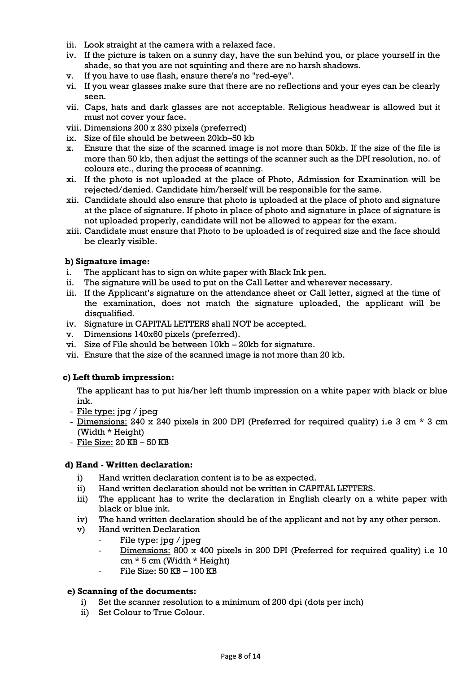- iii. Look straight at the camera with a relaxed face.
- iv. If the picture is taken on a sunny day, have the sun behind you, or place yourself in the shade, so that you are not squinting and there are no harsh shadows.
- v. If you have to use flash, ensure there's no "red-eye".
- vi. If you wear glasses make sure that there are no reflections and your eyes can be clearly seen.
- vii. Caps, hats and dark glasses are not acceptable. Religious headwear is allowed but it must not cover your face.
- viii. Dimensions 200 x 230 pixels (preferred)
- ix. Size of file should be between 20kb–50 kb
- x. Ensure that the size of the scanned image is not more than 50kb. If the size of the file is more than 50 kb, then adjust the settings of the scanner such as the DPI resolution, no. of colours etc., during the process of scanning.
- xi. If the photo is not uploaded at the place of Photo, Admission for Examination will be rejected/denied. Candidate him/herself will be responsible for the same.
- xii. Candidate should also ensure that photo is uploaded at the place of photo and signature at the place of signature. If photo in place of photo and signature in place of signature is not uploaded properly, candidate will not be allowed to appear for the exam.
- xiii. Candidate must ensure that Photo to be uploaded is of required size and the face should be clearly visible.

#### **b) Signature image:**

- i. The applicant has to sign on white paper with Black Ink pen.
- ii. The signature will be used to put on the Call Letter and wherever necessary.
- iii. If the Applicant"s signature on the attendance sheet or Call letter, signed at the time of the examination, does not match the signature uploaded, the applicant will be disqualified.
- iv. Signature in CAPITAL LETTERS shall NOT be accepted.
- v. Dimensions 140x60 pixels (preferred).
- vi. Size of File should be between 10kb 20kb for signature.
- vii. Ensure that the size of the scanned image is not more than 20 kb.

#### **c) Left thumb impression:**

The applicant has to put his/her left thumb impression on a white paper with black or blue ink.

- File type: jpg / jpeg
- Dimensions: 240 x 240 pixels in 200 DPI (Preferred for required quality) i.e 3 cm \* 3 cm (Width \* Height)
- File Size: 20 KB 50 KB

#### **d) Hand - Written declaration:**

- i) Hand written declaration content is to be as expected.
- ii) Hand written declaration should not be written in CAPITAL LETTERS.
- iii) The applicant has to write the declaration in English clearly on a white paper with black or blue ink.
- iv) The hand written declaration should be of the applicant and not by any other person.
- v) Hand written Declaration
	- File type: jpg / jpeg
	- Dimensions: 800 x 400 pixels in 200 DPI (Preferred for required quality) i.e 10 cm \* 5 cm (Width \* Height)
	- File Size: 50 KB 100 KB

#### **e) Scanning of the documents:**

- i) Set the scanner resolution to a minimum of 200 dpi (dots per inch)
- ii) Set Colour to True Colour.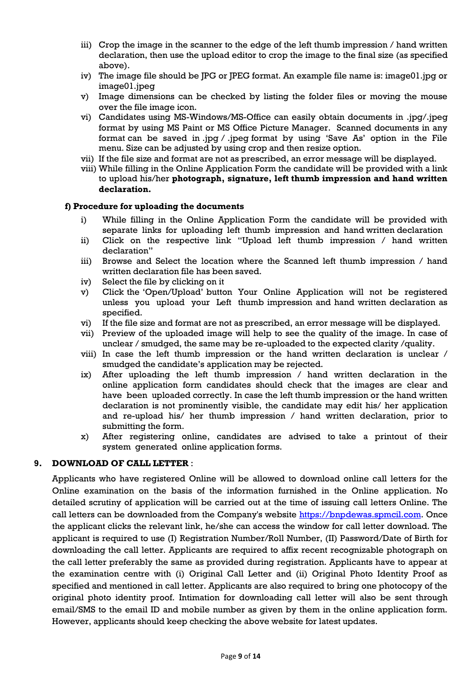- iii) Crop the image in the scanner to the edge of the left thumb impression  $/$  hand written declaration, then use the upload editor to crop the image to the final size (as specified above).
- iv) The image file should be JPG or JPEG format. An example file name is: image01.jpg or image01.jpeg
- v) Image dimensions can be checked by listing the folder files or moving the mouse over the file image icon.
- vi) Candidates using MS-Windows/MS-Office can easily obtain documents in .jpg/.jpeg format by using MS Paint or MS Office Picture Manager. Scanned documents in any format can be saved in .jpg / .jpeg format by using "Save As" option in the File menu. Size can be adjusted by using crop and then resize option.
- vii) If the file size and format are not as prescribed, an error message will be displayed.
- viii) While filling in the Online Application Form the candidate will be provided with a link to upload his/her **photograph, signature, left thumb impression and hand written declaration.**

#### **f) Procedure for uploading the documents**

- i) While filling in the Online Application Form the candidate will be provided with separate links for uploading left thumb impression and hand written declaration
- ii) Click on the respective link "Upload left thumb impression / hand written declaration"
- iii) Browse and Select the location where the Scanned left thumb impression / hand written declaration file has been saved.
- iv) Select the file by clicking on it
- v) Click the "Open/Upload" button Your Online Application will not be registered unless you upload your Left thumb impression and hand written declaration as specified.
- vi) If the file size and format are not as prescribed, an error message will be displayed.
- vii) Preview of the uploaded image will help to see the quality of the image. In case of unclear / smudged, the same may be re-uploaded to the expected clarity /quality.
- viii) In case the left thumb impression or the hand written declaration is unclear / smudged the candidate"s application may be rejected.
- ix) After uploading the left thumb impression / hand written declaration in the online application form candidates should check that the images are clear and have been uploaded correctly. In case the left thumb impression or the hand written declaration is not prominently visible, the candidate may edit his/ her application and re-upload his/ her thumb impression / hand written declaration, prior to submitting the form.
- x) After registering online, candidates are advised to take a printout of their system generated online application forms.

## **9. DOWNLOAD OF CALL LETTER** :

Applicants who have registered Online will be allowed to download online call letters for the Online examination on the basis of the information furnished in the Online application. No detailed scrutiny of application will be carried out at the time of issuing call letters Online. The call letters can be downloaded from the Company's website [https://bnpdewas.spmcil.com.](https://bnpdewas.spmcil.com/) Once the applicant clicks the relevant link, he/she can access the window for call letter download. The applicant is required to use (I) Registration Number/Roll Number, (II) Password/Date of Birth for downloading the call letter. Applicants are required to affix recent recognizable photograph on the call letter preferably the same as provided during registration. Applicants have to appear at the examination centre with (i) Original Call Letter and (ii) Original Photo Identity Proof as specified and mentioned in call letter. Applicants are also required to bring one photocopy of the original photo identity proof. Intimation for downloading call letter will also be sent through email/SMS to the email ID and mobile number as given by them in the online application form. However, applicants should keep checking the above website for latest updates.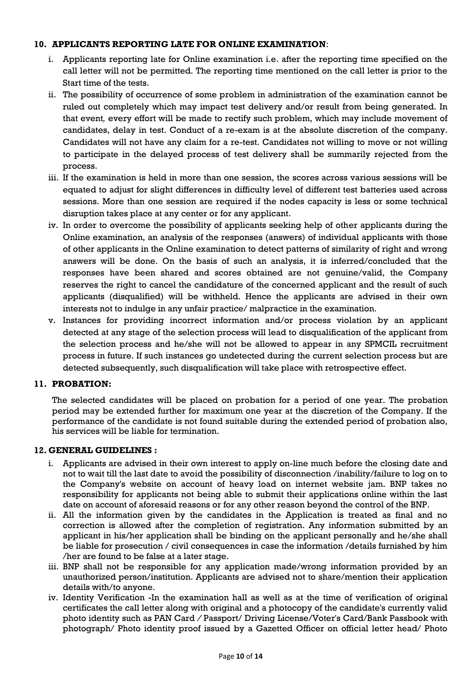#### **10. APPLICANTS REPORTING LATE FOR ONLINE EXAMINATION**:

- i. Applicants reporting late for Online examination i.e. after the reporting time specified on the call letter will not be permitted. The reporting time mentioned on the call letter is prior to the Start time of the tests.
- ii. The possibility of occurrence of some problem in administration of the examination cannot be ruled out completely which may impact test delivery and/or result from being generated. In that event*,* every effort will be made to rectify such problem, which may include movement of candidates, delay in test. Conduct of a re-exam is at the absolute discretion of the company. Candidates will not have any claim for a re-test. Candidates not willing to move or not willing to participate in the delayed process of test delivery shall be summarily rejected from the process.
- iii. If the examination is held in more than one session, the scores across various sessions will be equated to adjust for slight differences in difficulty level of different test batteries used across sessions. More than one session are required if the nodes capacity is less or some technical disruption takes place at any center or for any applicant.
- iv. In order to overcome the possibility of applicants seeking help of other applicants during the Online examination, an analysis of the responses (answers) of individual applicants with those of other applicants in the Online examination to detect patterns of similarity of right and wrong answers will be done. On the basis of such an analysis, it is inferred/concluded that the responses have been shared and scores obtained are not genuine/valid, the Company reserves the right to cancel the candidature of the concerned applicant and the result of such applicants (disqualified) will be withheld. Hence the applicants are advised in their own interests not to indulge in any unfair practice/ malpractice in the examination.
- v. Instances for providing incorrect information and/or process violation by an applicant detected at any stage of the selection process will lead to disqualification of the applicant from the selection process and he/she will not be allowed to appear in any SPMCIL recruitment process in future. If such instances go undetected during the current selection process but are detected subsequently, such disqualification will take place with retrospective effect.

## **11. PROBATION:**

The selected candidates will be placed on probation for a period of one year. The probation period may be extended further for maximum one year at the discretion of the Company. If the performance of the candidate is not found suitable during the extended period of probation also, his services will be liable for termination.

#### **12. GENERAL GUIDELINES :**

- i. Applicants are advised in their own interest to apply on-line much before the closing date and not to wait till the last date to avoid the possibility of disconnection /inability/failure to log on to the Company's website on account of heavy load on internet website jam. BNP takes no responsibility for applicants not being able to submit their applications online within the last date on account of aforesaid reasons or for any other reason beyond the control of the BNP.
- ii. All the information given by the candidates in the Application is treated as final and no correction is allowed after the completion of registration. Any information submitted by an applicant in his/her application shall be binding on the applicant personally and he/she shall be liable for prosecution / civil consequences in case the information /details furnished by him /her are found to be false at a later stage.
- iii. BNP shall not be responsible for any application made/wrong information provided by an unauthorized person/institution. Applicants are advised not to share/mention their application details with/to anyone.
- iv. Identity Verification -In the examination hall as well as at the time of verification of original certificates the call letter along with original and a photocopy of the candidate's currently valid photo identity such as PAN Card */* Passport/ Driving License/Voter's Card/Bank Passbook with photograph/ Photo identity proof issued by a Gazetted Officer on official letter head/ Photo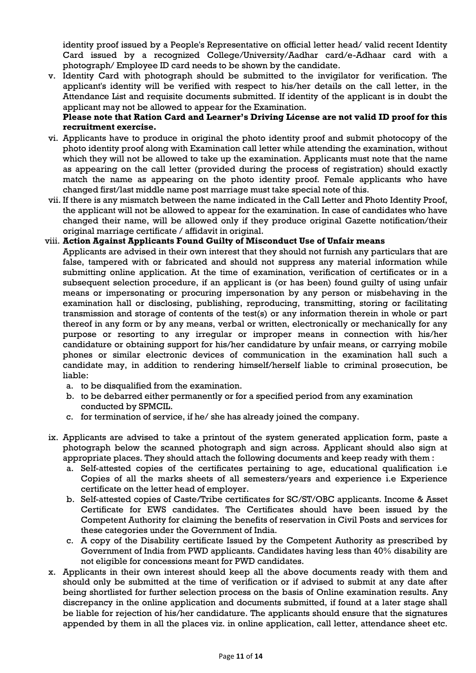identity proof issued by a People's Representative on official letter head/ valid recent Identity Card issued by a recognized College/University/Aadhar card/e-Adhaar card with a photograph/ Employee ID card needs to be shown by the candidate.

v. Identity Card with photograph should be submitted to the invigilator for verification. The applicant's identity will be verified with respect to his/her details on the call letter, in the Attendance List and requisite documents submitted. If identity of the applicant is in doubt the applicant may not be allowed to appear for the Examination.

## **Please note that Ration Card and Learner's Driving License are not valid ID proof for this recruitment exercise.**

- vi. Applicants have to produce in original the photo identity proof and submit photocopy of the photo identity proof along with Examination call letter while attending the examination, without which they will not be allowed to take up the examination. Applicants must note that the name as appearing on the call letter (provided during the process of registration) should exactly match the name as appearing on the photo identity proof. Female applicants who have changed first/last middle name post marriage must take special note of this.
- vii. If there is any mismatch between the name indicated in the Call Letter and Photo Identity Proof, the applicant will not be allowed to appear for the examination. In case of candidates who have changed their name, will be allowed only if they produce original Gazette notification/their original marriage certificate / affidavit in original.

## viii. **Action Against Applicants Found Guilty of Misconduct Use of Unfair means**

- Applicants are advised in their own interest that they should not furnish any particulars that are false, tampered with or fabricated and should not suppress any material information while submitting online application. At the time of examination, verification of certificates or in a subsequent selection procedure, if an applicant is (or has been) found guilty of using unfair means or impersonating or procuring impersonation by any person or misbehaving in the examination hall or disclosing, publishing, reproducing, transmitting, storing or facilitating transmission and storage of contents of the test(s) or any information therein in whole or part thereof in any form or by any means, verbal or written, electronically or mechanically for any purpose or resorting to any irregular or improper means in connection with his/her candidature or obtaining support for his/her candidature by unfair means, or carrying mobile phones or similar electronic devices of communication in the examination hall such a candidate may, in addition to rendering himself/herself liable to criminal prosecution, be liable:
	- a. to be disqualified from the examination.
	- b. to be debarred either permanently or for a specified period from any examination conducted by SPMCIL.
	- c. for termination of service, if he/ she has already joined the company.
- ix. Applicants are advised to take a printout of the system generated application form, paste a photograph below the scanned photograph and sign across. Applicant should also sign at appropriate places. They should attach the following documents and keep ready with them :
	- a. Self-attested copies of the certificates pertaining to age, educational qualification i.e Copies of all the marks sheets of all semesters/years and experience i.e Experience certificate on the letter head of employer.
	- b. Self-attested copies of Caste/Tribe certificates for SC/ST/OBC applicants. Income & Asset Certificate for EWS candidates. The Certificates should have been issued by the Competent Authority for claiming the benefits of reservation in Civil Posts and services for these categories under the Government of India.
	- c. A copy of the Disability certificate Issued by the Competent Authority as prescribed by Government of India from PWD applicants. Candidates having less than 40% disability are not eligible for concessions meant for PWD candidates.
- x. Applicants in their own interest should keep all the above documents ready with them and should only be submitted at the time of verification or if advised to submit at any date after being shortlisted for further selection process on the basis of Online examination results. Any discrepancy in the online application and documents submitted, if found at a later stage shall be liable for rejection of his/her candidature. The applicants should ensure that the signatures appended by them in all the places viz. in online application, call letter, attendance sheet etc.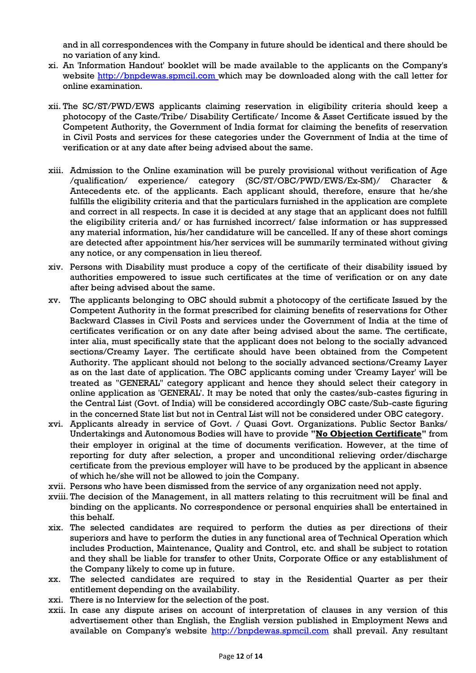and in all correspondences with the Company in future should be identical and there should be no variation of any kind.

- xi. An 'Information Handout' booklet will be made available to the applicants on the Company's website http://bnpdewas.spmcil.com which may be downloaded along with the call letter for online examination.
- xii. The SC/ST/PWD/EWS applicants claiming reservation in eligibility criteria should keep a photocopy of the Caste/Tribe/ Disability Certificate/ Income & Asset Certificate issued by the Competent Authority, the Government of India format for claiming the benefits of reservation in Civil Posts and services for these categories under the Government of India at the time of verification or at any date after being advised about the same.
- xiii. Admission to the Online examination will be purely provisional without verification of Age /qualification/ experience/ category (SC/ST/OBC/PWD/EWS/Ex-SM)/ Character & Antecedents etc. of the applicants. Each applicant should, therefore, ensure that he/she fulfills the eligibility criteria and that the particulars furnished in the application are complete and correct in all respects. In case it is decided at any stage that an applicant does not fulfill the eligibility criteria and/ or has furnished incorrect/ false information or has suppressed any material information, his/her candidature will be cancelled. If any of these short comings are detected after appointment his/her services will be summarily terminated without giving any notice, or any compensation in lieu thereof.
- xiv. Persons with Disability must produce a copy of the certificate of their disability issued by authorities empowered to issue such certificates at the time of verification or on any date after being advised about the same.
- xv. The applicants belonging to OBC should submit a photocopy of the certificate Issued by the Competent Authority in the format prescribed for claiming benefits of reservations for Other Backward Classes in Civil Posts and services under the Government of India at the time of certificates verification or on any date after being advised about the same. The certificate, inter alia, must specifically state that the applicant does not belong to the socially advanced sections/Creamy Layer. The certificate should have been obtained from the Competent Authority. The applicant should not belong to the socially advanced sections/Creamy Layer as on the last date of application. The OBC applicants coming under 'Creamy Layer' will be treated as "GENERAL" category applicant and hence they should select their category in online application as 'GENERAL'. It may be noted that only the castes/sub-castes figuring in the Central List (Govt. of India) will be considered accordingly OBC caste/Sub-caste figuring in the concerned State list but not in Central List will not be considered under OBC category.
- xvi. Applicants already in service of Govt. / Quasi Govt. Organizations. Public Sector Banks/ Undertakings and Autonomous Bodies will have to provide **"No Objection Certificate"** from their employer in original at the time of documents verification. However, at the time of reporting for duty after selection, a proper and unconditional relieving order/discharge certificate from the previous employer will have to be produced by the applicant in absence of which he/she will not be allowed to join the Company.
- xvii. Persons who have been dismissed from the service of any organization need not apply.
- xviii. The decision of the Management, in all matters relating to this recruitment will be final and binding on the applicants. No correspondence or personal enquiries shall be entertained in this behalf.
- xix. The selected candidates are required to perform the duties as per directions of their superiors and have to perform the duties in any functional area of Technical Operation which includes Production, Maintenance, Quality and Control, etc. and shall be subject to rotation and they shall be liable for transfer to other Units, Corporate Office or any establishment of the Company likely to come up in future.
- xx. The selected candidates are required to stay in the Residential Quarter as per their entitlement depending on the availability.
- xxi. There is no Interview for the selection of the post.
- xxii. In case any dispute arises on account of interpretation of clauses in any version of this advertisement other than English, the English version published in Employment News and available on Company's website http://bnpdewas.spmcil.com shall prevail. Any resultant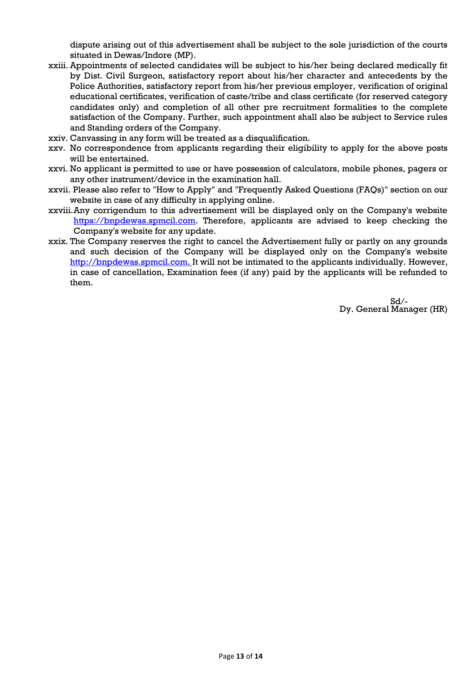dispute arising out of this advertisement shall be subject to the sole jurisdiction of the courts situated in Dewas/Indore (MP).

- xxiii. Appointments of selected candidates will be subject to his/her being declared medically fit by Dist. Civil Surgeon, satisfactory report about his/her character and antecedents by the Police Authorities, satisfactory report from his/her previous employer, verification of original educational certificates, verification of caste/tribe and class certificate (for reserved category candidates only) and completion of all other pre recruitment formalities to the complete satisfaction of the Company. Further, such appointment shall also be subject to Service rules and Standing orders of the Company.
- xxiv. Canvassing in any form will be treated as a disqualification.
- xxv. No correspondence from applicants regarding their eligibility to apply for the above posts will be entertained.
- xxvi. No applicant is permitted to use or have possession of calculators, mobile phones, pagers or any other instrument/device in the examination hall.
- xxvii. Please also refer to "How to Apply" and "Frequently Asked Questions (FAQs)" section on our website in case of any difficulty in applying online.
- xxviii.Any corrigendum to this advertisement will be displayed only on the Company's website [https://bnpdewas.spmcil.com.](https://bnpdewas.spmcil.com/) Therefore, applicants are advised to keep checking the Company's website for any update.
- xxix. The Company reserves the right to cancel the Advertisement fully or partly on any grounds and such decision of the Company will be displayed only on the Company's website http://bnpdewas.spmcil.com. It will not be intimated to the applicants individually. However, in case of cancellation, Examination fees (if any) paid by the applicants will be refunded to them.

Sd/- Dy. General Manager (HR)